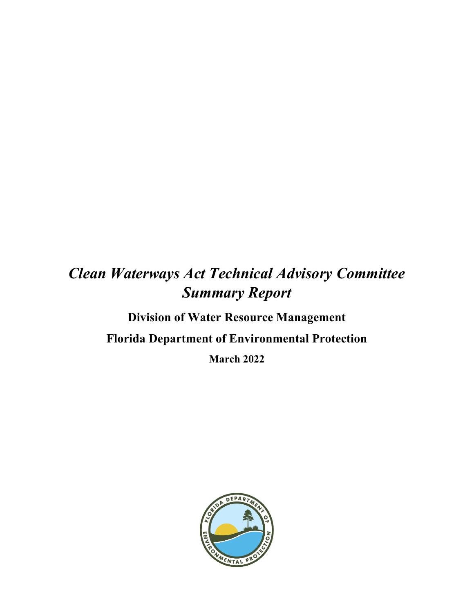# *Clean Waterways Act Technical Advisory Committee Summary Report*

# **Division of Water Resource Management Florida Department of Environmental Protection March 2022**

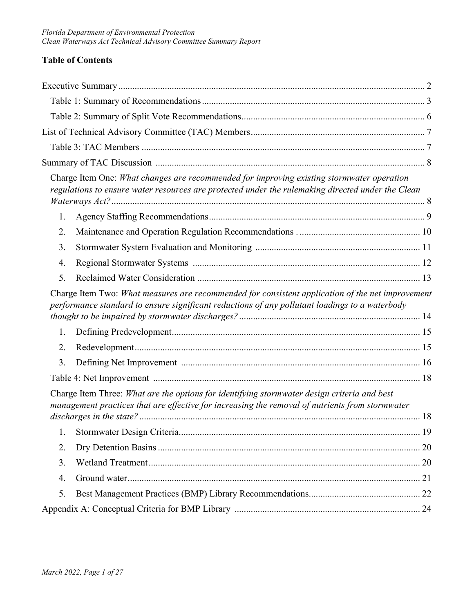### **Table of Contents**

|    | Charge Item One: What changes are recommended for improving existing stormwater operation<br>regulations to ensure water resources are protected under the rulemaking directed under the Clean     |  |
|----|----------------------------------------------------------------------------------------------------------------------------------------------------------------------------------------------------|--|
| 1. |                                                                                                                                                                                                    |  |
| 2. |                                                                                                                                                                                                    |  |
| 3. |                                                                                                                                                                                                    |  |
| 4. |                                                                                                                                                                                                    |  |
| 5. |                                                                                                                                                                                                    |  |
|    | Charge Item Two: What measures are recommended for consistent application of the net improvement<br>performance standard to ensure significant reductions of any pollutant loadings to a waterbody |  |
| 1. |                                                                                                                                                                                                    |  |
| 2. |                                                                                                                                                                                                    |  |
| 3. |                                                                                                                                                                                                    |  |
|    |                                                                                                                                                                                                    |  |
|    | Charge Item Three: What are the options for identifying stormwater design criteria and best<br>management practices that are effective for increasing the removal of nutrients from stormwater     |  |
|    |                                                                                                                                                                                                    |  |
| 1. |                                                                                                                                                                                                    |  |
| 2. |                                                                                                                                                                                                    |  |
| 3. |                                                                                                                                                                                                    |  |
| 4. |                                                                                                                                                                                                    |  |
| 5. |                                                                                                                                                                                                    |  |
|    |                                                                                                                                                                                                    |  |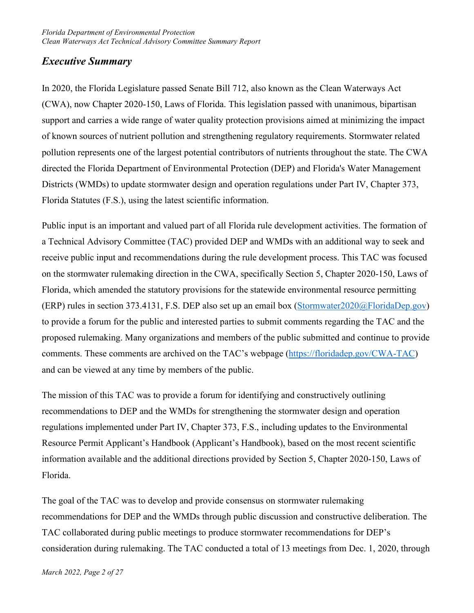## <span id="page-2-0"></span>*Executive Summary*

In 2020, the Florida Legislature passed Senate Bill 712, also known as the Clean Waterways Act (CWA), now Chapter 2020-150, Laws of Florida. This legislation passed with unanimous, bipartisan support and carries a wide range of water quality protection provisions aimed at minimizing the impact of known sources of nutrient pollution and strengthening regulatory requirements. Stormwater related pollution represents one of the largest potential contributors of nutrients throughout the state. The CWA directed the Florida Department of Environmental Protection (DEP) and Florida's Water Management Districts (WMDs) to update stormwater design and operation regulations under Part IV, Chapter 373, Florida Statutes (F.S.), using the latest scientific information.

Public input is an important and valued part of all Florida rule development activities. The formation of a Technical Advisory Committee (TAC) provided DEP and WMDs with an additional way to seek and receive public input and recommendations during the rule development process. This TAC was focused on the stormwater rulemaking direction in the CWA, specifically Section 5, Chapter 2020-150, Laws of Florida, which amended the statutory provisions for the statewide environmental resource permitting (ERP) rules in section 373.4131, F.S. DEP also set up an email box [\(Stormwater2020@FloridaDep.gov\)](mailto:Stormwater2020@FloridaDep.gov) to provide a forum for the public and interested parties to submit comments regarding the TAC and the proposed rulemaking. Many organizations and members of the public submitted and continue to provide comments. These comments are archived on the TAC's webpage [\(https://floridadep.gov/CWA-TAC\)](https://floridadep.gov/CWA-TAC) and can be viewed at any time by members of the public.

The mission of this TAC was to provide a forum for identifying and constructively outlining recommendations to DEP and the WMDs for strengthening the stormwater design and operation regulations implemented under Part IV, Chapter 373, F.S., including updates to the Environmental Resource Permit Applicant's Handbook (Applicant's Handbook), based on the most recent scientific information available and the additional directions provided by Section 5, Chapter 2020-150, Laws of Florida.

The goal of the TAC was to develop and provide consensus on stormwater rulemaking recommendations for DEP and the WMDs through public discussion and constructive deliberation. The TAC collaborated during public meetings to produce stormwater recommendations for DEP's consideration during rulemaking. The TAC conducted a total of 13 meetings from Dec. 1, 2020, through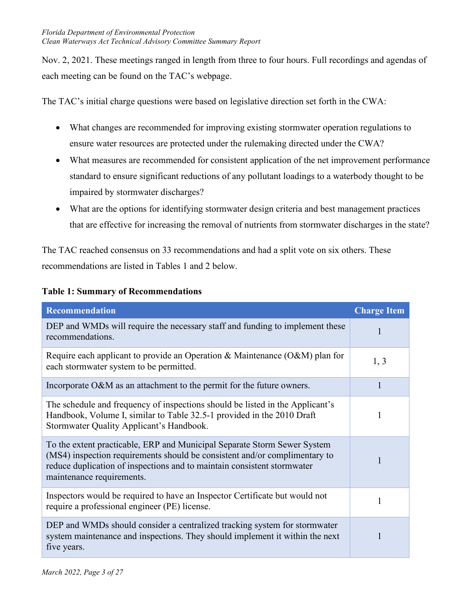Nov. 2, 2021. These meetings ranged in length from three to four hours. Full recordings and agendas of each meeting can be found on the TAC's webpage.

The TAC's initial charge questions were based on legislative direction set forth in the CWA:

- What changes are recommended for improving existing stormwater operation regulations to ensure water resources are protected under the rulemaking directed under the CWA?
- What measures are recommended for consistent application of the net improvement performance standard to ensure significant reductions of any pollutant loadings to a waterbody thought to be impaired by stormwater discharges?
- What are the options for identifying stormwater design criteria and best management practices that are effective for increasing the removal of nutrients from stormwater discharges in the state?

The TAC reached consensus on 33 recommendations and had a split vote on six others. These recommendations are listed in Tables 1 and 2 below.

| <b>Recommendation</b>                                                                                                                                                                                                                                          | <b>Charge Item</b> |
|----------------------------------------------------------------------------------------------------------------------------------------------------------------------------------------------------------------------------------------------------------------|--------------------|
| DEP and WMDs will require the necessary staff and funding to implement these<br>recommendations.                                                                                                                                                               |                    |
| Require each applicant to provide an Operation & Maintenance $(O\& M)$ plan for<br>each stormwater system to be permitted.                                                                                                                                     | 1, 3               |
| Incorporate O&M as an attachment to the permit for the future owners.                                                                                                                                                                                          | 1                  |
| The schedule and frequency of inspections should be listed in the Applicant's<br>Handbook, Volume I, similar to Table 32.5-1 provided in the 2010 Draft<br>Stormwater Quality Applicant's Handbook.                                                            |                    |
| To the extent practicable, ERP and Municipal Separate Storm Sewer System<br>(MS4) inspection requirements should be consistent and/or complimentary to<br>reduce duplication of inspections and to maintain consistent stormwater<br>maintenance requirements. |                    |
| Inspectors would be required to have an Inspector Certificate but would not<br>require a professional engineer (PE) license.                                                                                                                                   | 1                  |
| DEP and WMDs should consider a centralized tracking system for stormwater<br>system maintenance and inspections. They should implement it within the next<br>five years.                                                                                       |                    |

#### <span id="page-3-0"></span>**Table 1: Summary of Recommendations**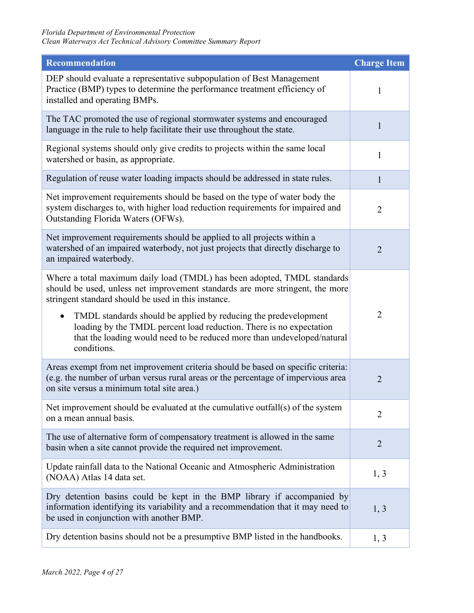| <b>Recommendation</b>                                                                                                                                                                                                            | <b>Charge Item</b> |
|----------------------------------------------------------------------------------------------------------------------------------------------------------------------------------------------------------------------------------|--------------------|
| DEP should evaluate a representative subpopulation of Best Management<br>Practice (BMP) types to determine the performance treatment efficiency of<br>installed and operating BMPs.                                              | 1                  |
| The TAC promoted the use of regional stormwater systems and encouraged<br>language in the rule to help facilitate their use throughout the state.                                                                                | 1                  |
| Regional systems should only give credits to projects within the same local<br>watershed or basin, as appropriate.                                                                                                               | 1                  |
| Regulation of reuse water loading impacts should be addressed in state rules.                                                                                                                                                    | 1                  |
| Net improvement requirements should be based on the type of water body the<br>system discharges to, with higher load reduction requirements for impaired and<br>Outstanding Florida Waters (OFWs).                               | $\overline{2}$     |
| Net improvement requirements should be applied to all projects within a<br>watershed of an impaired waterbody, not just projects that directly discharge to<br>an impaired waterbody.                                            | $\overline{2}$     |
| Where a total maximum daily load (TMDL) has been adopted, TMDL standards<br>should be used, unless net improvement standards are more stringent, the more<br>stringent standard should be used in this instance.                 |                    |
| TMDL standards should be applied by reducing the predevelopment<br>loading by the TMDL percent load reduction. There is no expectation<br>that the loading would need to be reduced more than undeveloped/natural<br>conditions. | $\overline{2}$     |
| Areas exempt from net improvement criteria should be based on specific criteria:<br>(e.g. the number of urban versus rural areas or the percentage of impervious area<br>on site versus a minimum total site area.)              | $\overline{2}$     |
| Net improvement should be evaluated at the cumulative outfall(s) of the system<br>on a mean annual basis.                                                                                                                        | $\overline{2}$     |
| The use of alternative form of compensatory treatment is allowed in the same<br>basin when a site cannot provide the required net improvement.                                                                                   | $\overline{2}$     |
| Update rainfall data to the National Oceanic and Atmospheric Administration<br>(NOAA) Atlas 14 data set.                                                                                                                         | 1, 3               |
| Dry detention basins could be kept in the BMP library if accompanied by<br>information identifying its variability and a recommendation that it may need to<br>be used in conjunction with another BMP.                          | 1, 3               |
| Dry detention basins should not be a presumptive BMP listed in the handbooks.                                                                                                                                                    | 1, 3               |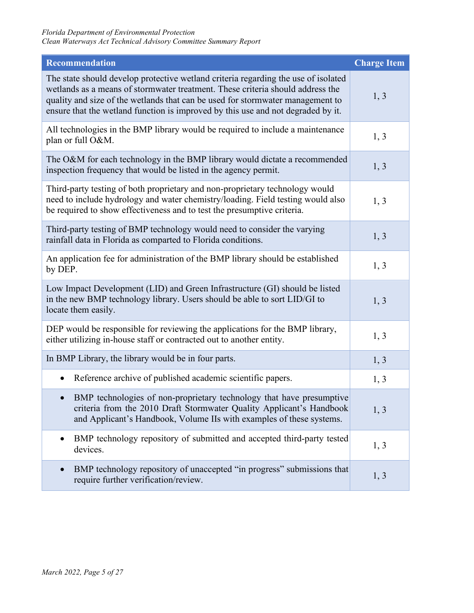| <b>Recommendation</b>                                                                                                                                                                                                                                                                                                                      | <b>Charge Item</b> |
|--------------------------------------------------------------------------------------------------------------------------------------------------------------------------------------------------------------------------------------------------------------------------------------------------------------------------------------------|--------------------|
| The state should develop protective wetland criteria regarding the use of isolated<br>wetlands as a means of stormwater treatment. These criteria should address the<br>quality and size of the wetlands that can be used for stormwater management to<br>ensure that the wetland function is improved by this use and not degraded by it. | 1, 3               |
| All technologies in the BMP library would be required to include a maintenance<br>plan or full O&M.                                                                                                                                                                                                                                        | 1, 3               |
| The O&M for each technology in the BMP library would dictate a recommended<br>inspection frequency that would be listed in the agency permit.                                                                                                                                                                                              | 1, 3               |
| Third-party testing of both proprietary and non-proprietary technology would<br>need to include hydrology and water chemistry/loading. Field testing would also<br>be required to show effectiveness and to test the presumptive criteria.                                                                                                 | 1, 3               |
| Third-party testing of BMP technology would need to consider the varying<br>rainfall data in Florida as comparted to Florida conditions.                                                                                                                                                                                                   | 1, 3               |
| An application fee for administration of the BMP library should be established<br>by DEP.                                                                                                                                                                                                                                                  | 1, 3               |
| Low Impact Development (LID) and Green Infrastructure (GI) should be listed<br>in the new BMP technology library. Users should be able to sort LID/GI to<br>locate them easily.                                                                                                                                                            | 1, 3               |
| DEP would be responsible for reviewing the applications for the BMP library,<br>either utilizing in-house staff or contracted out to another entity.                                                                                                                                                                                       | 1, 3               |
| In BMP Library, the library would be in four parts.                                                                                                                                                                                                                                                                                        | 1, 3               |
| Reference archive of published academic scientific papers.<br>$\bullet$                                                                                                                                                                                                                                                                    | 1, 3               |
| BMP technologies of non-proprietary technology that have presumptive<br>criteria from the 2010 Draft Stormwater Quality Applicant's Handbook<br>and Applicant's Handbook, Volume IIs with examples of these systems.                                                                                                                       | 1, 3               |
| BMP technology repository of submitted and accepted third-party tested<br>$\bullet$<br>devices.                                                                                                                                                                                                                                            | 1, 3               |
| BMP technology repository of unaccepted "in progress" submissions that<br>$\bullet$<br>require further verification/review.                                                                                                                                                                                                                | 1, 3               |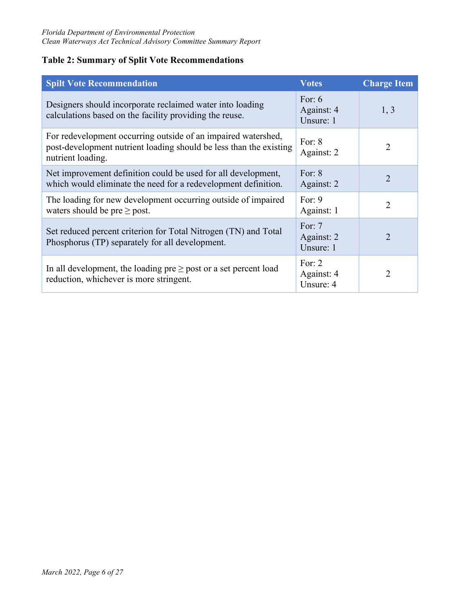### <span id="page-6-0"></span>**Table 2: Summary of Split Vote Recommendations**

| <b>Spilt Vote Recommendation</b>                                                                                                                         | <b>Votes</b>                        | <b>Charge Item</b> |
|----------------------------------------------------------------------------------------------------------------------------------------------------------|-------------------------------------|--------------------|
| Designers should incorporate reclaimed water into loading<br>calculations based on the facility providing the reuse.                                     | For: $6$<br>Against: 4<br>Unsure: 1 | 1, 3               |
| For redevelopment occurring outside of an impaired watershed,<br>post-development nutrient loading should be less than the existing<br>nutrient loading. | For: $8$<br>Against: 2              | $\overline{2}$     |
| Net improvement definition could be used for all development,<br>which would eliminate the need for a redevelopment definition.                          | For: $8$<br>Against: 2              | $\overline{2}$     |
| The loading for new development occurring outside of impaired<br>waters should be pre $\geq$ post.                                                       | For: $9$<br>Against: 1              | $\mathcal{L}$      |
| Set reduced percent criterion for Total Nitrogen (TN) and Total<br>Phosphorus (TP) separately for all development.                                       | For: $7$<br>Against: 2<br>Unsure: 1 | 2                  |
| In all development, the loading pre $\geq$ post or a set percent load<br>reduction, whichever is more stringent.                                         | For: $2$<br>Against: 4<br>Unsure: 4 | $\mathfrak{D}$     |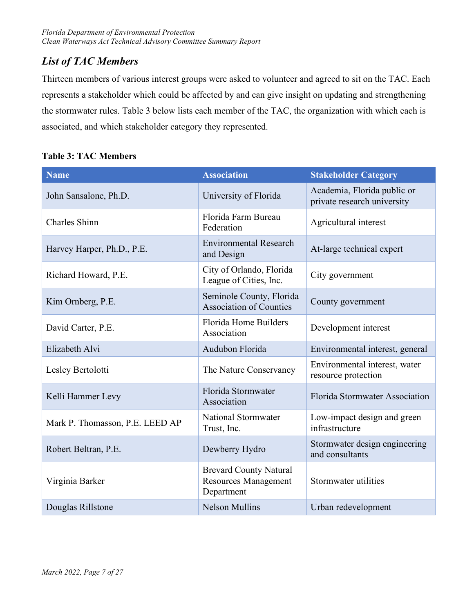## <span id="page-7-0"></span>*List of TAC Members*

Thirteen members of various interest groups were asked to volunteer and agreed to sit on the TAC. Each represents a stakeholder which could be affected by and can give insight on updating and strengthening the stormwater rules. Table 3 below lists each member of the TAC, the organization with which each is associated, and which stakeholder category they represented.

<span id="page-7-1"></span>

|  |  | <b>Table 3: TAC Members</b> |
|--|--|-----------------------------|
|--|--|-----------------------------|

| <b>Name</b>                     | <b>Association</b>                                                         | <b>Stakeholder Category</b>                                |  |
|---------------------------------|----------------------------------------------------------------------------|------------------------------------------------------------|--|
| John Sansalone, Ph.D.           | University of Florida                                                      | Academia, Florida public or<br>private research university |  |
| Charles Shinn                   | Florida Farm Bureau<br>Federation                                          | Agricultural interest                                      |  |
| Harvey Harper, Ph.D., P.E.      | <b>Environmental Research</b><br>and Design                                | At-large technical expert                                  |  |
| Richard Howard, P.E.            | City of Orlando, Florida<br>League of Cities, Inc.                         | City government                                            |  |
| Kim Ornberg, P.E.               | Seminole County, Florida<br><b>Association of Counties</b>                 | County government                                          |  |
| David Carter, P.E.              | Florida Home Builders<br>Association                                       | Development interest                                       |  |
| Elizabeth Alvi                  | Audubon Florida                                                            | Environmental interest, general                            |  |
| Lesley Bertolotti               | The Nature Conservancy                                                     | Environmental interest, water<br>resource protection       |  |
| Kelli Hammer Levy               | Florida Stormwater<br>Association                                          | Florida Stormwater Association                             |  |
| Mark P. Thomasson, P.E. LEED AP | National Stormwater<br>Trust, Inc.                                         | Low-impact design and green<br>infrastructure              |  |
| Robert Beltran, P.E.            | Dewberry Hydro                                                             | Stormwater design engineering<br>and consultants           |  |
| Virginia Barker                 | <b>Brevard County Natural</b><br><b>Resources Management</b><br>Department | Stormwater utilities                                       |  |
| Douglas Rillstone               | <b>Nelson Mullins</b>                                                      | Urban redevelopment                                        |  |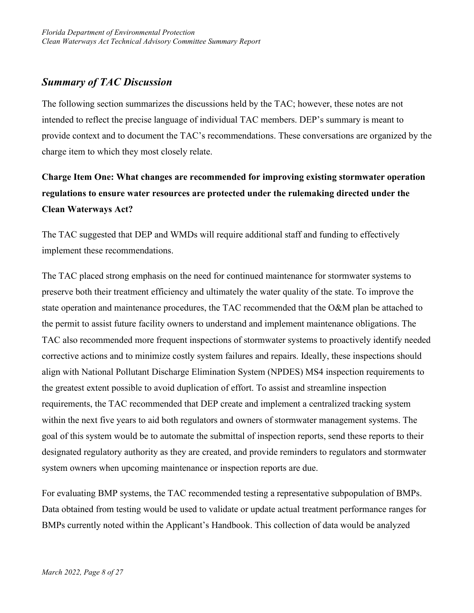## <span id="page-8-0"></span>*Summary of TAC Discussion*

The following section summarizes the discussions held by the TAC; however, these notes are not intended to reflect the precise language of individual TAC members. DEP's summary is meant to provide context and to document the TAC's recommendations. These conversations are organized by the charge item to which they most closely relate.

# <span id="page-8-1"></span>**Charge Item One: What changes are recommended for improving existing stormwater operation regulations to ensure water resources are protected under the rulemaking directed under the Clean Waterways Act?**

The TAC suggested that DEP and WMDs will require additional staff and funding to effectively implement these recommendations.

The TAC placed strong emphasis on the need for continued maintenance for stormwater systems to preserve both their treatment efficiency and ultimately the water quality of the state. To improve the state operation and maintenance procedures, the TAC recommended that the O&M plan be attached to the permit to assist future facility owners to understand and implement maintenance obligations. The TAC also recommended more frequent inspections of stormwater systems to proactively identify needed corrective actions and to minimize costly system failures and repairs. Ideally, these inspections should align with National Pollutant Discharge Elimination System (NPDES) MS4 inspection requirements to the greatest extent possible to avoid duplication of effort. To assist and streamline inspection requirements, the TAC recommended that DEP create and implement a centralized tracking system within the next five years to aid both regulators and owners of stormwater management systems. The goal of this system would be to automate the submittal of inspection reports, send these reports to their designated regulatory authority as they are created, and provide reminders to regulators and stormwater system owners when upcoming maintenance or inspection reports are due.

For evaluating BMP systems, the TAC recommended testing a representative subpopulation of BMPs. Data obtained from testing would be used to validate or update actual treatment performance ranges for BMPs currently noted within the Applicant's Handbook. This collection of data would be analyzed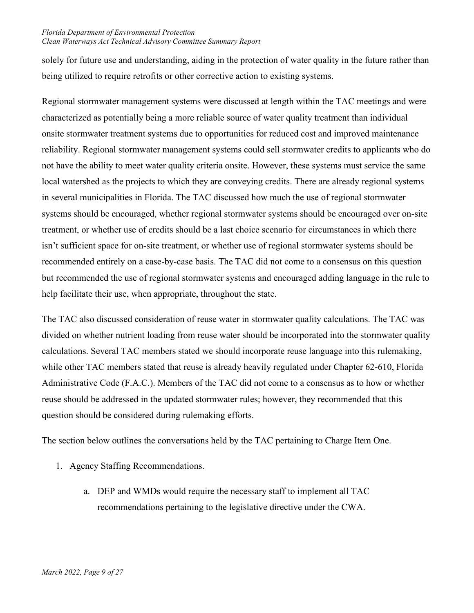solely for future use and understanding, aiding in the protection of water quality in the future rather than being utilized to require retrofits or other corrective action to existing systems.

Regional stormwater management systems were discussed at length within the TAC meetings and were characterized as potentially being a more reliable source of water quality treatment than individual onsite stormwater treatment systems due to opportunities for reduced cost and improved maintenance reliability. Regional stormwater management systems could sell stormwater credits to applicants who do not have the ability to meet water quality criteria onsite. However, these systems must service the same local watershed as the projects to which they are conveying credits. There are already regional systems in several municipalities in Florida. The TAC discussed how much the use of regional stormwater systems should be encouraged, whether regional stormwater systems should be encouraged over on-site treatment, or whether use of credits should be a last choice scenario for circumstances in which there isn't sufficient space for on-site treatment, or whether use of regional stormwater systems should be recommended entirely on a case-by-case basis. The TAC did not come to a consensus on this question but recommended the use of regional stormwater systems and encouraged adding language in the rule to help facilitate their use, when appropriate, throughout the state.

The TAC also discussed consideration of reuse water in stormwater quality calculations. The TAC was divided on whether nutrient loading from reuse water should be incorporated into the stormwater quality calculations. Several TAC members stated we should incorporate reuse language into this rulemaking, while other TAC members stated that reuse is already heavily regulated under Chapter 62-610, Florida Administrative Code (F.A.C.). Members of the TAC did not come to a consensus as to how or whether reuse should be addressed in the updated stormwater rules; however, they recommended that this question should be considered during rulemaking efforts.

The section below outlines the conversations held by the TAC pertaining to Charge Item One.

- <span id="page-9-0"></span>1. Agency Staffing Recommendations.
	- a. DEP and WMDs would require the necessary staff to implement all TAC recommendations pertaining to the legislative directive under the CWA.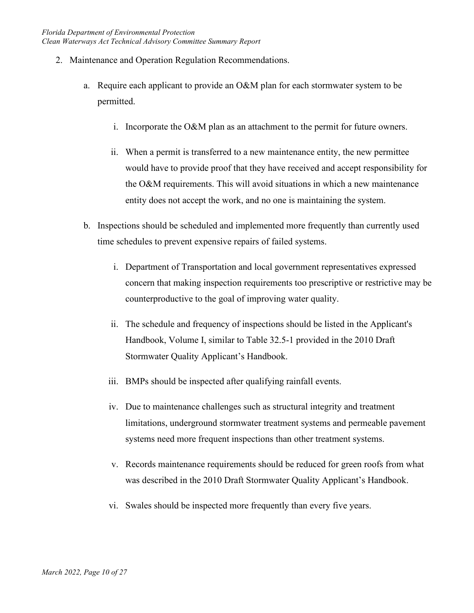- <span id="page-10-0"></span>2. Maintenance and Operation Regulation Recommendations.
	- a. Require each applicant to provide an O&M plan for each stormwater system to be permitted.
		- i. Incorporate the O&M plan as an attachment to the permit for future owners.
		- ii. When a permit is transferred to a new maintenance entity, the new permittee would have to provide proof that they have received and accept responsibility for the O&M requirements. This will avoid situations in which a new maintenance entity does not accept the work, and no one is maintaining the system.
	- b. Inspections should be scheduled and implemented more frequently than currently used time schedules to prevent expensive repairs of failed systems.
		- i. Department of Transportation and local government representatives expressed concern that making inspection requirements too prescriptive or restrictive may be counterproductive to the goal of improving water quality.
		- ii. The schedule and frequency of inspections should be listed in the Applicant's Handbook, Volume I, similar to Table 32.5-1 provided in the 2010 Draft Stormwater Quality Applicant's Handbook.
		- iii. BMPs should be inspected after qualifying rainfall events.
		- iv. Due to maintenance challenges such as structural integrity and treatment limitations, underground stormwater treatment systems and permeable pavement systems need more frequent inspections than other treatment systems.
		- v. Records maintenance requirements should be reduced for green roofs from what was described in the 2010 Draft Stormwater Quality Applicant's Handbook.
		- vi. Swales should be inspected more frequently than every five years.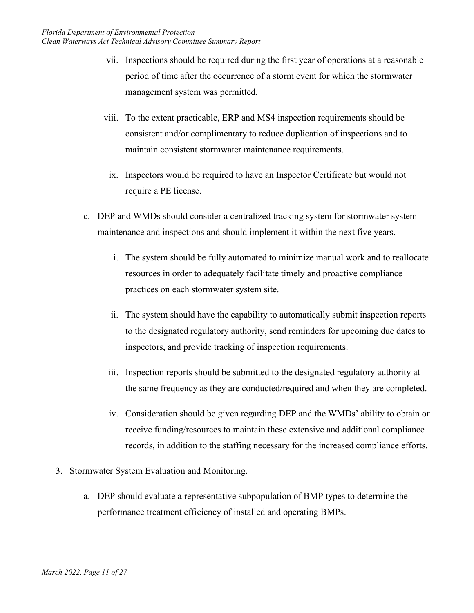- vii. Inspections should be required during the first year of operations at a reasonable period of time after the occurrence of a storm event for which the stormwater management system was permitted.
- viii. To the extent practicable, ERP and MS4 inspection requirements should be consistent and/or complimentary to reduce duplication of inspections and to maintain consistent stormwater maintenance requirements.
	- ix. Inspectors would be required to have an Inspector Certificate but would not require a PE license.
- c. DEP and WMDs should consider a centralized tracking system for stormwater system maintenance and inspections and should implement it within the next five years.
	- i. The system should be fully automated to minimize manual work and to reallocate resources in order to adequately facilitate timely and proactive compliance practices on each stormwater system site.
	- ii. The system should have the capability to automatically submit inspection reports to the designated regulatory authority, send reminders for upcoming due dates to inspectors, and provide tracking of inspection requirements.
	- iii. Inspection reports should be submitted to the designated regulatory authority at the same frequency as they are conducted/required and when they are completed.
	- iv. Consideration should be given regarding DEP and the WMDs' ability to obtain or receive funding/resources to maintain these extensive and additional compliance records, in addition to the staffing necessary for the increased compliance efforts.
- <span id="page-11-0"></span>3. Stormwater System Evaluation and Monitoring.
	- a. DEP should evaluate a representative subpopulation of BMP types to determine the performance treatment efficiency of installed and operating BMPs.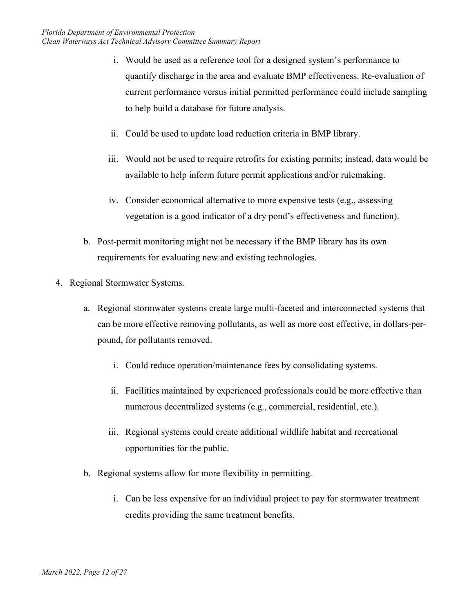- i. Would be used as a reference tool for a designed system's performance to quantify discharge in the area and evaluate BMP effectiveness. Re-evaluation of current performance versus initial permitted performance could include sampling to help build a database for future analysis.
- ii. Could be used to update load reduction criteria in BMP library.
- iii. Would not be used to require retrofits for existing permits; instead, data would be available to help inform future permit applications and/or rulemaking.
- iv. Consider economical alternative to more expensive tests (e.g., assessing vegetation is a good indicator of a dry pond's effectiveness and function).
- b. Post-permit monitoring might not be necessary if the BMP library has its own requirements for evaluating new and existing technologies.
- <span id="page-12-0"></span>4. Regional Stormwater Systems.
	- a. Regional stormwater systems create large multi-faceted and interconnected systems that can be more effective removing pollutants, as well as more cost effective, in dollars-perpound, for pollutants removed.
		- i. Could reduce operation/maintenance fees by consolidating systems.
		- ii. Facilities maintained by experienced professionals could be more effective than numerous decentralized systems (e.g., commercial, residential, etc.).
		- iii. Regional systems could create additional wildlife habitat and recreational opportunities for the public.
	- b. Regional systems allow for more flexibility in permitting.
		- i. Can be less expensive for an individual project to pay for stormwater treatment credits providing the same treatment benefits.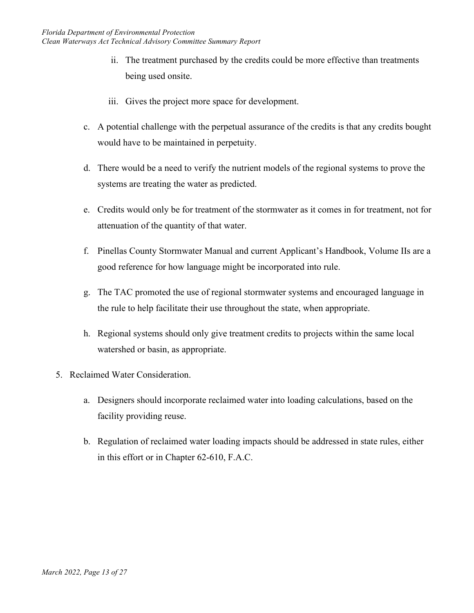- ii. The treatment purchased by the credits could be more effective than treatments being used onsite.
- iii. Gives the project more space for development.
- c. A potential challenge with the perpetual assurance of the credits is that any credits bought would have to be maintained in perpetuity.
- d. There would be a need to verify the nutrient models of the regional systems to prove the systems are treating the water as predicted.
- e. Credits would only be for treatment of the stormwater as it comes in for treatment, not for attenuation of the quantity of that water.
- f. Pinellas County Stormwater Manual and current Applicant's Handbook, Volume IIs are a good reference for how language might be incorporated into rule.
- g. The TAC promoted the use of regional stormwater systems and encouraged language in the rule to help facilitate their use throughout the state, when appropriate.
- h. Regional systems should only give treatment credits to projects within the same local watershed or basin, as appropriate.
- <span id="page-13-0"></span>5. Reclaimed Water Consideration.
	- a. Designers should incorporate reclaimed water into loading calculations, based on the facility providing reuse.
	- b. Regulation of reclaimed water loading impacts should be addressed in state rules, either in this effort or in Chapter 62-610, F.A.C.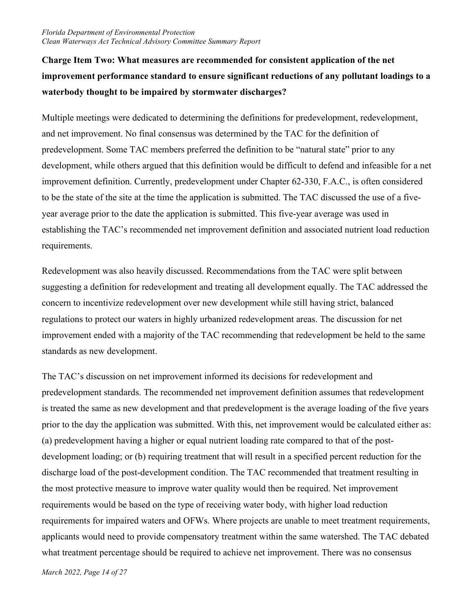# <span id="page-14-0"></span>**Charge Item Two: What measures are recommended for consistent application of the net improvement performance standard to ensure significant reductions of any pollutant loadings to a waterbody thought to be impaired by stormwater discharges?**

Multiple meetings were dedicated to determining the definitions for predevelopment, redevelopment, and net improvement. No final consensus was determined by the TAC for the definition of predevelopment. Some TAC members preferred the definition to be "natural state" prior to any development, while others argued that this definition would be difficult to defend and infeasible for a net improvement definition. Currently, predevelopment under Chapter 62-330, F.A.C., is often considered to be the state of the site at the time the application is submitted. The TAC discussed the use of a fiveyear average prior to the date the application is submitted. This five-year average was used in establishing the TAC's recommended net improvement definition and associated nutrient load reduction requirements.

Redevelopment was also heavily discussed. Recommendations from the TAC were split between suggesting a definition for redevelopment and treating all development equally. The TAC addressed the concern to incentivize redevelopment over new development while still having strict, balanced regulations to protect our waters in highly urbanized redevelopment areas. The discussion for net improvement ended with a majority of the TAC recommending that redevelopment be held to the same standards as new development.

The TAC's discussion on net improvement informed its decisions for redevelopment and predevelopment standards. The recommended net improvement definition assumes that redevelopment is treated the same as new development and that predevelopment is the average loading of the five years prior to the day the application was submitted. With this, net improvement would be calculated either as: (a) predevelopment having a higher or equal nutrient loading rate compared to that of the postdevelopment loading; or (b) requiring treatment that will result in a specified percent reduction for the discharge load of the post-development condition. The TAC recommended that treatment resulting in the most protective measure to improve water quality would then be required. Net improvement requirements would be based on the type of receiving water body, with higher load reduction requirements for impaired waters and OFWs. Where projects are unable to meet treatment requirements, applicants would need to provide compensatory treatment within the same watershed. The TAC debated what treatment percentage should be required to achieve net improvement. There was no consensus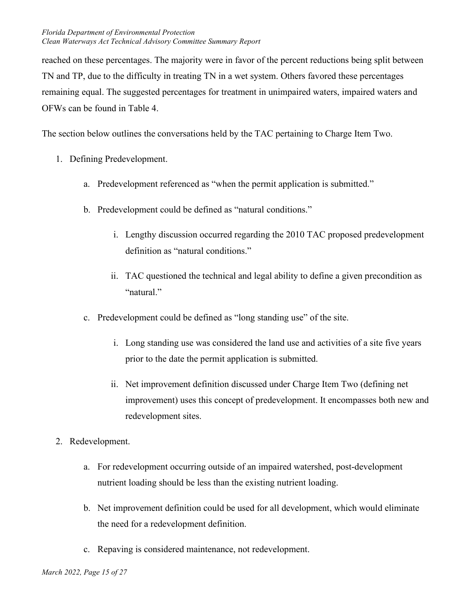reached on these percentages. The majority were in favor of the percent reductions being split between TN and TP, due to the difficulty in treating TN in a wet system. Others favored these percentages remaining equal. The suggested percentages for treatment in unimpaired waters, impaired waters and OFWs can be found in Table 4.

The section below outlines the conversations held by the TAC pertaining to Charge Item Two.

- <span id="page-15-0"></span>1. Defining Predevelopment.
	- a. Predevelopment referenced as "when the permit application is submitted."
	- b. Predevelopment could be defined as "natural conditions."
		- i. Lengthy discussion occurred regarding the 2010 TAC proposed predevelopment definition as "natural conditions."
		- ii. TAC questioned the technical and legal ability to define a given precondition as "natural."
	- c. Predevelopment could be defined as "long standing use" of the site.
		- i. Long standing use was considered the land use and activities of a site five years prior to the date the permit application is submitted.
		- ii. Net improvement definition discussed under Charge Item Two (defining net improvement) uses this concept of predevelopment. It encompasses both new and redevelopment sites.
- <span id="page-15-1"></span>2. Redevelopment.
	- a. For redevelopment occurring outside of an impaired watershed, post-development nutrient loading should be less than the existing nutrient loading.
	- b. Net improvement definition could be used for all development, which would eliminate the need for a redevelopment definition.
	- c. Repaving is considered maintenance, not redevelopment.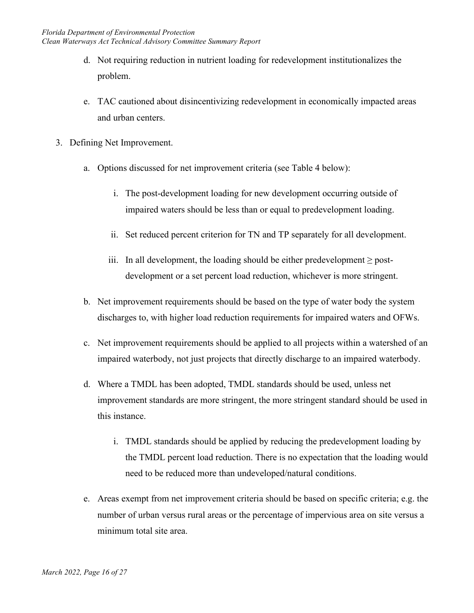- d. Not requiring reduction in nutrient loading for redevelopment institutionalizes the problem.
- e. TAC cautioned about disincentivizing redevelopment in economically impacted areas and urban centers.
- <span id="page-16-0"></span>3. Defining Net Improvement.
	- a. Options discussed for net improvement criteria (see Table 4 below):
		- i. The post-development loading for new development occurring outside of impaired waters should be less than or equal to predevelopment loading.
		- ii. Set reduced percent criterion for TN and TP separately for all development.
		- iii. In all development, the loading should be either predevelopment ≥ postdevelopment or a set percent load reduction, whichever is more stringent.
	- b. Net improvement requirements should be based on the type of water body the system discharges to, with higher load reduction requirements for impaired waters and OFWs.
	- c. Net improvement requirements should be applied to all projects within a watershed of an impaired waterbody, not just projects that directly discharge to an impaired waterbody.
	- d. Where a TMDL has been adopted, TMDL standards should be used, unless net improvement standards are more stringent, the more stringent standard should be used in this instance.
		- i. TMDL standards should be applied by reducing the predevelopment loading by the TMDL percent load reduction. There is no expectation that the loading would need to be reduced more than undeveloped/natural conditions.
	- e. Areas exempt from net improvement criteria should be based on specific criteria; e.g. the number of urban versus rural areas or the percentage of impervious area on site versus a minimum total site area.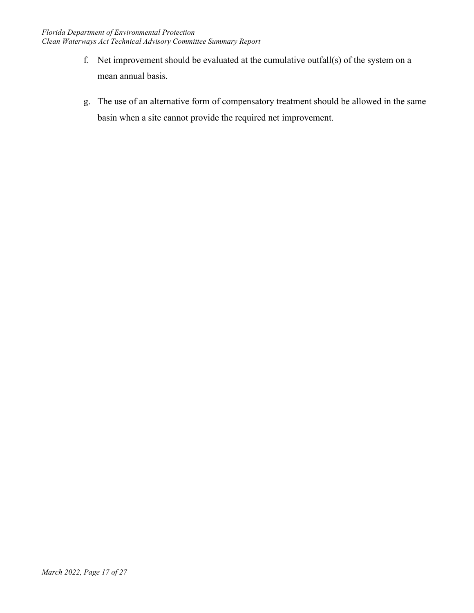- f. Net improvement should be evaluated at the cumulative outfall(s) of the system on a mean annual basis.
- g. The use of an alternative form of compensatory treatment should be allowed in the same basin when a site cannot provide the required net improvement.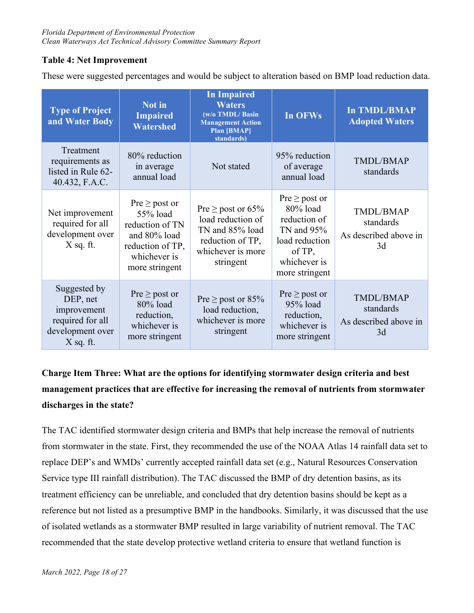#### <span id="page-18-0"></span>**Table 4: Net Improvement**

These were suggested percentages and would be subject to alteration based on BMP load reduction data.

| <b>Type of Project</b><br>and Water Body                                                       | Not in<br><b>Impaired</b><br><b>Watershed</b>                                                                           | <b>In Impaired</b><br><b>Waters</b><br>(w/o TMDL/ Basin<br><b>Management Action</b><br><b>Plan [BMAP]</b><br>standards) | In OFWs                                                                                                                    | <b>In TMDL/BMAP</b><br><b>Adopted Waters</b>          |
|------------------------------------------------------------------------------------------------|-------------------------------------------------------------------------------------------------------------------------|-------------------------------------------------------------------------------------------------------------------------|----------------------------------------------------------------------------------------------------------------------------|-------------------------------------------------------|
| Treatment<br>requirements as<br>listed in Rule 62-<br>40.432, F.A.C.                           | 80% reduction<br>in average<br>annual load                                                                              | Not stated                                                                                                              | 95% reduction<br>of average<br>annual load                                                                                 | TMDL/BMAP<br>standards                                |
| Net improvement<br>required for all<br>development over<br>$X$ sq. ft.                         | $Pre \geq post$ or<br>55% load<br>reduction of TN<br>and 80% load<br>reduction of TP,<br>whichever is<br>more stringent | Pre $\geq$ post or 65%<br>load reduction of<br>TN and 85% load<br>reduction of TP,<br>whichever is more<br>stringent    | $Pre \geq post$ or<br>80% load<br>reduction of<br>TN and 95%<br>load reduction<br>of TP,<br>whichever is<br>more stringent | TMDL/BMAP<br>standards<br>As described above in<br>3d |
| Suggested by<br>DEP, net<br>improvement<br>required for all<br>development over<br>$X$ sq. ft. | $Pre \geq post$ or<br>80% load<br>reduction,<br>whichever is<br>more stringent                                          | Pre $\geq$ post or 85%<br>load reduction,<br>whichever is more<br>stringent                                             | $Pre \geq post$ or<br>95% load<br>reduction,<br>whichever is<br>more stringent                                             | TMDL/BMAP<br>standards<br>As described above in<br>3d |

# <span id="page-18-1"></span>**Charge Item Three: What are the options for identifying stormwater design criteria and best management practices that are effective for increasing the removal of nutrients from stormwater discharges in the state?**

The TAC identified stormwater design criteria and BMPs that help increase the removal of nutrients from stormwater in the state. First, they recommended the use of the NOAA Atlas 14 rainfall data set to replace DEP's and WMDs' currently accepted rainfall data set (e.g., Natural Resources Conservation Service type III rainfall distribution). The TAC discussed the BMP of dry detention basins, as its treatment efficiency can be unreliable, and concluded that dry detention basins should be kept as a reference but not listed as a presumptive BMP in the handbooks. Similarly, it was discussed that the use of isolated wetlands as a stormwater BMP resulted in large variability of nutrient removal. The TAC recommended that the state develop protective wetland criteria to ensure that wetland function is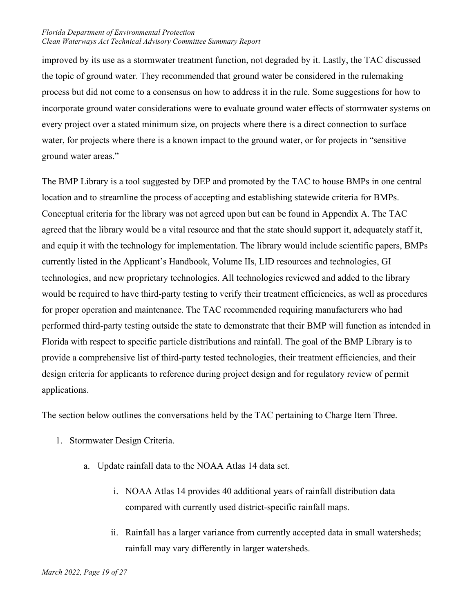improved by its use as a stormwater treatment function, not degraded by it. Lastly, the TAC discussed the topic of ground water. They recommended that ground water be considered in the rulemaking process but did not come to a consensus on how to address it in the rule. Some suggestions for how to incorporate ground water considerations were to evaluate ground water effects of stormwater systems on every project over a stated minimum size, on projects where there is a direct connection to surface water, for projects where there is a known impact to the ground water, or for projects in "sensitive ground water areas."

The BMP Library is a tool suggested by DEP and promoted by the TAC to house BMPs in one central location and to streamline the process of accepting and establishing statewide criteria for BMPs. Conceptual criteria for the library was not agreed upon but can be found in Appendix A. The TAC agreed that the library would be a vital resource and that the state should support it, adequately staff it, and equip it with the technology for implementation. The library would include scientific papers, BMPs currently listed in the Applicant's Handbook, Volume IIs, LID resources and technologies, GI technologies, and new proprietary technologies. All technologies reviewed and added to the library would be required to have third-party testing to verify their treatment efficiencies, as well as procedures for proper operation and maintenance. The TAC recommended requiring manufacturers who had performed third-party testing outside the state to demonstrate that their BMP will function as intended in Florida with respect to specific particle distributions and rainfall. The goal of the BMP Library is to provide a comprehensive list of third-party tested technologies, their treatment efficiencies, and their design criteria for applicants to reference during project design and for regulatory review of permit applications.

The section below outlines the conversations held by the TAC pertaining to Charge Item Three.

- <span id="page-19-0"></span>1. Stormwater Design Criteria.
	- a. Update rainfall data to the NOAA Atlas 14 data set.
		- i. NOAA Atlas 14 provides 40 additional years of rainfall distribution data compared with currently used district-specific rainfall maps.
		- ii. Rainfall has a larger variance from currently accepted data in small watersheds; rainfall may vary differently in larger watersheds.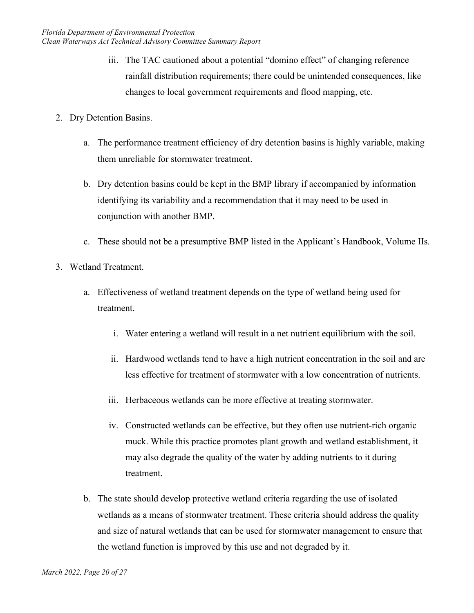- iii. The TAC cautioned about a potential "domino effect" of changing reference rainfall distribution requirements; there could be unintended consequences, like changes to local government requirements and flood mapping, etc.
- <span id="page-20-0"></span>2. Dry Detention Basins.
	- a. The performance treatment efficiency of dry detention basins is highly variable, making them unreliable for stormwater treatment.
	- b. Dry detention basins could be kept in the BMP library if accompanied by information identifying its variability and a recommendation that it may need to be used in conjunction with another BMP.
	- c. These should not be a presumptive BMP listed in the Applicant's Handbook, Volume IIs.
- <span id="page-20-1"></span>3. Wetland Treatment.
	- a. Effectiveness of wetland treatment depends on the type of wetland being used for treatment.
		- i. Water entering a wetland will result in a net nutrient equilibrium with the soil.
		- ii. Hardwood wetlands tend to have a high nutrient concentration in the soil and are less effective for treatment of stormwater with a low concentration of nutrients.
		- iii. Herbaceous wetlands can be more effective at treating stormwater.
		- iv. Constructed wetlands can be effective, but they often use nutrient-rich organic muck. While this practice promotes plant growth and wetland establishment, it may also degrade the quality of the water by adding nutrients to it during treatment.
	- b. The state should develop protective wetland criteria regarding the use of isolated wetlands as a means of stormwater treatment. These criteria should address the quality and size of natural wetlands that can be used for stormwater management to ensure that the wetland function is improved by this use and not degraded by it.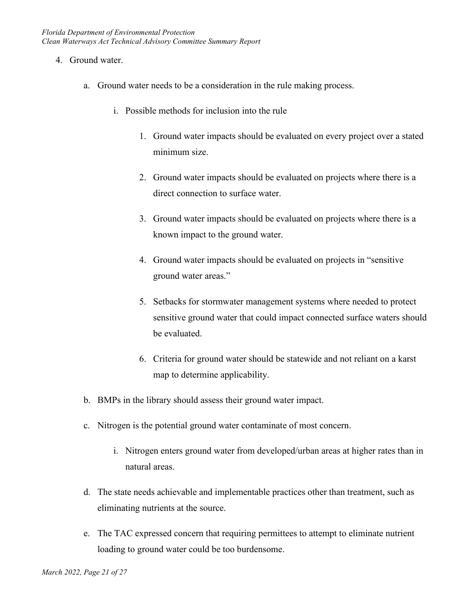- <span id="page-21-0"></span>4. Ground water.
	- a. Ground water needs to be a consideration in the rule making process.
		- i. Possible methods for inclusion into the rule
			- 1. Ground water impacts should be evaluated on every project over a stated minimum size.
			- 2. Ground water impacts should be evaluated on projects where there is a direct connection to surface water.
			- 3. Ground water impacts should be evaluated on projects where there is a known impact to the ground water.
			- 4. Ground water impacts should be evaluated on projects in "sensitive ground water areas."
			- 5. Setbacks for stormwater management systems where needed to protect sensitive ground water that could impact connected surface waters should be evaluated.
			- 6. Criteria for ground water should be statewide and not reliant on a karst map to determine applicability.
	- b. BMPs in the library should assess their ground water impact.
	- c. Nitrogen is the potential ground water contaminate of most concern.
		- i. Nitrogen enters ground water from developed/urban areas at higher rates than in natural areas.
	- d. The state needs achievable and implementable practices other than treatment, such as eliminating nutrients at the source.
	- e. The TAC expressed concern that requiring permittees to attempt to eliminate nutrient loading to ground water could be too burdensome.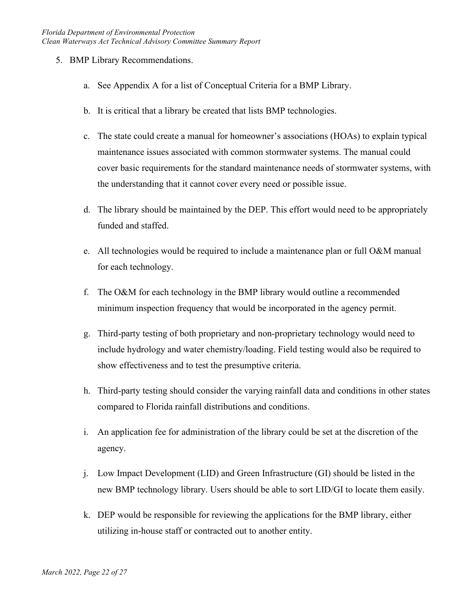- <span id="page-22-0"></span>5. BMP Library Recommendations.
	- a. See Appendix A for a list of Conceptual Criteria for a BMP Library.
	- b. It is critical that a library be created that lists BMP technologies.
	- c. The state could create a manual for homeowner's associations (HOAs) to explain typical maintenance issues associated with common stormwater systems. The manual could cover basic requirements for the standard maintenance needs of stormwater systems, with the understanding that it cannot cover every need or possible issue.
	- d. The library should be maintained by the DEP. This effort would need to be appropriately funded and staffed.
	- e. All technologies would be required to include a maintenance plan or full O&M manual for each technology.
	- f. The O&M for each technology in the BMP library would outline a recommended minimum inspection frequency that would be incorporated in the agency permit.
	- g. Third-party testing of both proprietary and non-proprietary technology would need to include hydrology and water chemistry/loading. Field testing would also be required to show effectiveness and to test the presumptive criteria.
	- h. Third-party testing should consider the varying rainfall data and conditions in other states compared to Florida rainfall distributions and conditions.
	- i. An application fee for administration of the library could be set at the discretion of the agency.
	- j. Low Impact Development (LID) and Green Infrastructure (GI) should be listed in the new BMP technology library. Users should be able to sort LID/GI to locate them easily.
	- k. DEP would be responsible for reviewing the applications for the BMP library, either utilizing in-house staff or contracted out to another entity.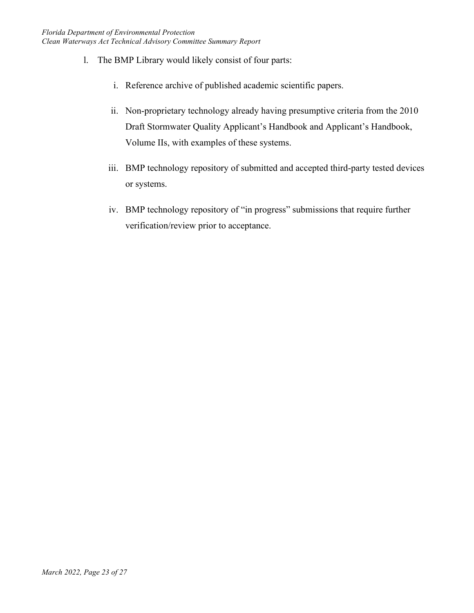- l. The BMP Library would likely consist of four parts:
	- i. Reference archive of published academic scientific papers.
	- ii. Non-proprietary technology already having presumptive criteria from the 2010 Draft Stormwater Quality Applicant's Handbook and Applicant's Handbook, Volume IIs, with examples of these systems.
	- iii. BMP technology repository of submitted and accepted third-party tested devices or systems.
	- iv. BMP technology repository of "in progress" submissions that require further verification/review prior to acceptance.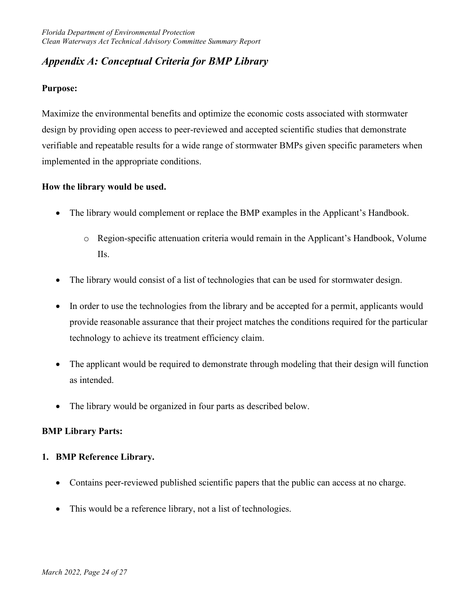## <span id="page-24-0"></span>*Appendix A: Conceptual Criteria for BMP Library*

#### **Purpose:**

Maximize the environmental benefits and optimize the economic costs associated with stormwater design by providing open access to peer-reviewed and accepted scientific studies that demonstrate verifiable and repeatable results for a wide range of stormwater BMPs given specific parameters when implemented in the appropriate conditions.

#### **How the library would be used.**

- The library would complement or replace the BMP examples in the Applicant's Handbook.
	- o Region-specific attenuation criteria would remain in the Applicant's Handbook, Volume IIs.
- The library would consist of a list of technologies that can be used for stormwater design.
- In order to use the technologies from the library and be accepted for a permit, applicants would provide reasonable assurance that their project matches the conditions required for the particular technology to achieve its treatment efficiency claim.
- The applicant would be required to demonstrate through modeling that their design will function as intended.
- The library would be organized in four parts as described below.

#### **BMP Library Parts:**

#### **1. BMP Reference Library.**

- Contains peer-reviewed published scientific papers that the public can access at no charge.
- This would be a reference library, not a list of technologies.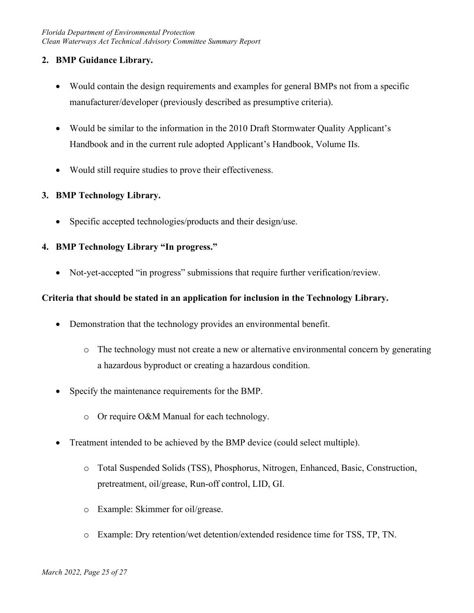#### **2. BMP Guidance Library.**

- Would contain the design requirements and examples for general BMPs not from a specific manufacturer/developer (previously described as presumptive criteria).
- Would be similar to the information in the 2010 Draft Stormwater Quality Applicant's Handbook and in the current rule adopted Applicant's Handbook, Volume IIs.
- Would still require studies to prove their effectiveness.

#### **3. BMP Technology Library.**

• Specific accepted technologies/products and their design/use.

#### **4. BMP Technology Library "In progress."**

• Not-yet-accepted "in progress" submissions that require further verification/review.

#### **Criteria that should be stated in an application for inclusion in the Technology Library.**

- Demonstration that the technology provides an environmental benefit.
	- $\circ$  The technology must not create a new or alternative environmental concern by generating a hazardous byproduct or creating a hazardous condition.
- Specify the maintenance requirements for the BMP.
	- o Or require O&M Manual for each technology.
- Treatment intended to be achieved by the BMP device (could select multiple).
	- o Total Suspended Solids (TSS), Phosphorus, Nitrogen, Enhanced, Basic, Construction, pretreatment, oil/grease, Run-off control, LID, GI.
	- o Example: Skimmer for oil/grease.
	- o Example: Dry retention/wet detention/extended residence time for TSS, TP, TN.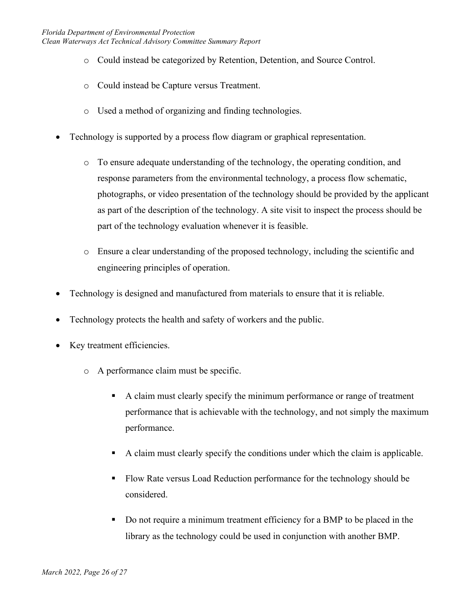- o Could instead be categorized by Retention, Detention, and Source Control.
- o Could instead be Capture versus Treatment.
- o Used a method of organizing and finding technologies.
- Technology is supported by a process flow diagram or graphical representation.
	- o To ensure adequate understanding of the technology, the operating condition, and response parameters from the environmental technology, a process flow schematic, photographs, or video presentation of the technology should be provided by the applicant as part of the description of the technology. A site visit to inspect the process should be part of the technology evaluation whenever it is feasible.
	- o Ensure a clear understanding of the proposed technology, including the scientific and engineering principles of operation.
- Technology is designed and manufactured from materials to ensure that it is reliable.
- Technology protects the health and safety of workers and the public.
- Key treatment efficiencies.
	- o A performance claim must be specific.
		- A claim must clearly specify the minimum performance or range of treatment performance that is achievable with the technology, and not simply the maximum performance.
		- A claim must clearly specify the conditions under which the claim is applicable.
		- Flow Rate versus Load Reduction performance for the technology should be considered.
		- Do not require a minimum treatment efficiency for a BMP to be placed in the library as the technology could be used in conjunction with another BMP.